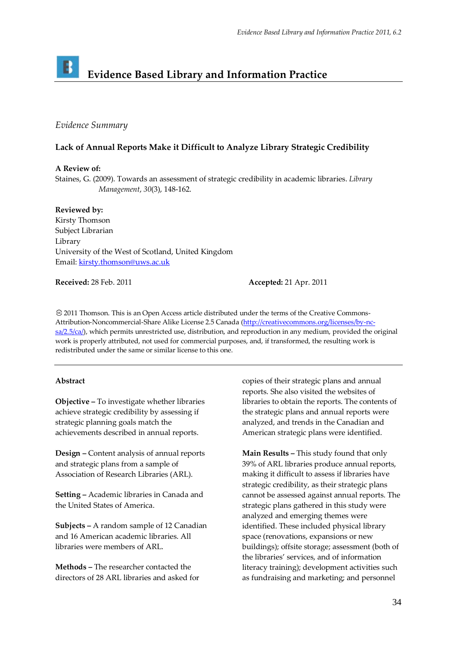# **Evidence Based Library and Information Practice**

## *Evidence Summary*

## **Lack of Annual Reports Make it Difficult to Analyze Library Strategic Credibility**

### **A Review of:**

Staines, G. (2009). Towards an assessment of strategic credibility in academic libraries. *Library Management*, *30*(3), 148-162.

#### **Reviewed by:**

Kirsty Thomson Subject Librarian Library University of the West of Scotland, United Kingdom Email: [kirsty.thomson@uws.ac.uk](mailto:kirsty.thomson@uws.ac.uk)

**Received:** 28 Feb. 2011 **Accepted:** 21 Apr. 2011

2011 Thomson. This is an Open Access article distributed under the terms of the Creative Commons-Attribution-Noncommercial-Share Alike License 2.5 Canada (http://creativecommons.org/licenses/by-ncsa/2.5/ca/), which permits unrestricted use, distribution, and reproduction in any medium, provided the original work is properly attributed, not used for commercial purposes, and, if transformed, the resulting work is redistributed under the same or similar license to this one.

#### **Abstract**

**Objective –** To investigate whether libraries achieve strategic credibility by assessing if strategic planning goals match the achievements described in annual reports.

**Design –** Content analysis of annual reports and strategic plans from a sample of Association of Research Libraries (ARL).

**Setting –** Academic libraries in Canada and the United States of America.

**Subjects –** A random sample of 12 Canadian and 16 American academic libraries. All libraries were members of ARL.

**Methods –** The researcher contacted the directors of 28 ARL libraries and asked for copies of their strategic plans and annual reports. She also visited the websites of libraries to obtain the reports. The contents of the strategic plans and annual reports were analyzed, and trends in the Canadian and American strategic plans were identified.

**Main Results –** This study found that only 39% of ARL libraries produce annual reports, making it difficult to assess if libraries have strategic credibility, as their strategic plans cannot be assessed against annual reports. The strategic plans gathered in this study were analyzed and emerging themes were identified. These included physical library space (renovations, expansions or new buildings); offsite storage; assessment (both of the libraries' services, and of information literacy training); development activities such as fundraising and marketing; and personnel